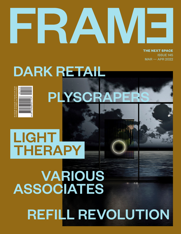# **THE NEXT SPACE**

ISSUE 145 MAR — APR 2022

# DARK RETAIL



PLYSCRAPER

### LIGHT THERAPY

## VARIOUS ASSOCIATES REFILL REVOLUTION